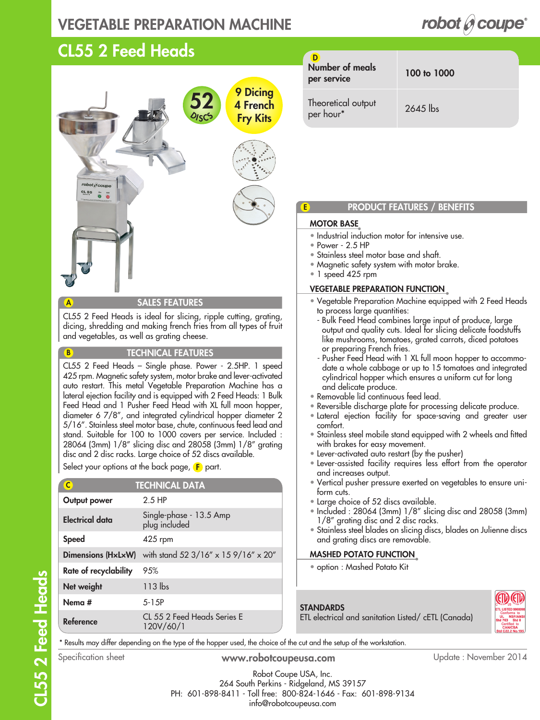## VEGETABLE PREPARATION MACHINE

## CL55 2 Feed Heads



SALES FEATURES

CL55 2 Feed Heads is ideal for slicing, ripple cutting, grating, dicing, shredding and making french fries from all types of fruit and vegetables, as well as grating cheese.

#### TECHNICAL FEATURES

CL55 2 Feed Heads – Single phase. Power - 2.5HP. 1 speed 425 rpm. Magnetic safety system, motor brake and lever-activated auto restart. This metal Vegetable Preparation Machine has a lateral ejection facility and is equipped with 2 Feed Heads: 1 Bulk Feed Head and 1 Pusher Feed Head with XL full moon hopper, diameter 6 7/8", and integrated cylindrical hopper diameter 2 5/16". Stainless steel motor base, chute, continuous feed lead and stand. Suitable for 100 to 1000 covers per service. Included : 28064 (3mm) 1/8" slicing disc and 28058 (3mm) 1/8" grating disc and 2 disc racks. Large choice of 52 discs available.

Select your options at the back page, **F** part.

| C                     | <b>TECHNICAL DATA</b>                    |
|-----------------------|------------------------------------------|
| Output power          | $2.5$ HP                                 |
| Electrical data       | Single-phase - 13.5 Amp<br>plug included |
| <b>Speed</b>          | 425 rpm                                  |
| Dimensions (HxLxW)    | with stand 52 3/16" x 15 9/16" x 20"     |
| Rate of recyclability | 95%                                      |
| Net weight            | 113 lbs                                  |
| Nema #                | 5-15P                                    |
| Reference             | CL 55 2 Feed Heads Series E<br>120V/60/1 |

| Number of meals<br>per service  | 100 to 1000 |
|---------------------------------|-------------|
| Theoretical output<br>per hour* | $2645$ lbs  |

robot  $\mathscr O$  coupe<sup>®</sup>

### PRODUCT FEATURES / BENEFITS

### MOTOR BASE

E

- Industrial induction motor for intensive use.
- Power 2.5 HP
- Stainless steel motor base and shaft.
- Magnetic safety system with motor brake.
- 1 speed 425 rpm

### VEGETABLE PREPARATION FUNCTION

- Vegetable Preparation Machine equipped with 2 Feed Heads to process large quantities:
	- Bulk Feed Head combines large input of produce, large output and quality cuts. Ideal for slicing delicate foodstuffs like mushrooms, tomatoes, grated carrots, diced potatoes or preparing French fries.
	- Pusher Feed Head with 1 XL full moon hopper to accommodate a whole cabbage or up to 15 tomatoes and integrated cylindrical hopper which ensures a uniform cut for long and delicate produce.
- Removable lid continuous feed lead.
- Reversible discharge plate for processing delicate produce.
- Lateral ejection facility for space-saving and greater user comfort.
- Stainless steel mobile stand equipped with 2 wheels and fitted with brakes for easy movement.
- Lever-activated auto restart (by the pusher)
- Lever-assisted facility requires less effort from the operator and increases output.
- Vertical pusher pressure exerted on vegetables to ensure uniform cuts.
- Large choice of 52 discs available.
- Included : 28064 (3mm) 1/8" slicing disc and 28058 (3mm) 1/8" grating disc and 2 disc racks.
- Stainless steel blades on slicing discs, blades on Julienne discs and grating discs are removable.

### MASHED POTATO FUNCTION

• option : Mashed Potato Kit

**STANDARDS** 



\* Results may differ depending on the type of the hopper used, the choice of the cut and the setup of the workstation.

A

B

Robot Coupe USA, Inc. 264 South Perkins - Ridgeland, MS 39157 PH: 601-898-8411 - Toll free: 800-824-1646 - Fax: 601-898-9134 info@robotcoupeusa.com